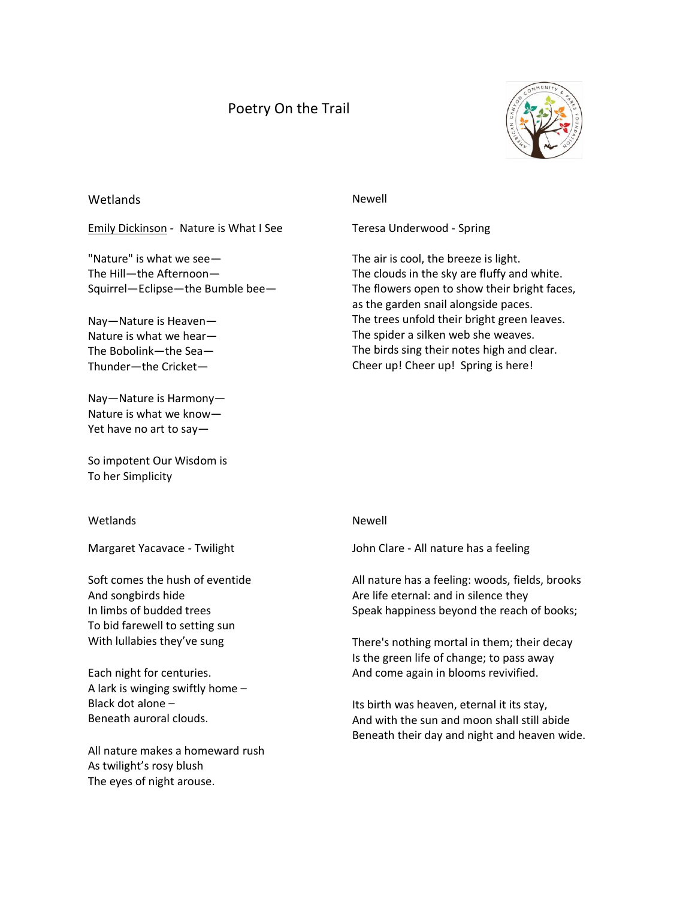# Poetry On the Trail



## Wetlands Newell

[Emily Dickinson](https://www.poemhunter.com/emily-dickinson/) - Nature is What I See

"Nature" is what we see— The Hill—the Afternoon— Squirrel—Eclipse—the Bumble bee—

Nay—Nature is Heaven— Nature is what we hear— The Bobolink—the Sea— Thunder—the Cricket—

Nay—Nature is Harmony— Nature is what we know— Yet have no art to say—

So impotent Our Wisdom is To her Simplicity

### Wetlands Newell

Margaret Yacavace - Twilight

Soft comes the hush of eventide And songbirds hide In limbs of budded trees To bid farewell to setting sun With lullabies they've sung

Each night for centuries. A lark is winging swiftly home – Black dot alone – Beneath auroral clouds.

All nature makes a homeward rush As twilight's rosy blush The eyes of night arouse.

Teresa Underwood - Spring

The air is cool, the breeze is light. The clouds in the sky are fluffy and white. The flowers open to show their bright faces, as the garden snail alongside paces. The trees unfold their bright green leaves. The spider a silken web she weaves. The birds sing their notes high and clear. Cheer up! Cheer up! Spring is here!

[John Clare](https://www.poemhunter.com/john-clare/) - All nature has a feeling

All nature has a feeling: woods, fields, brooks Are life eternal: and in silence they Speak happiness beyond the reach of books;

There's nothing mortal in them; their decay Is the green life of change; to pass away And come again in blooms revivified.

Its birth was heaven, eternal it its stay, And with the sun and moon shall still abide Beneath their day and night and heaven wide.